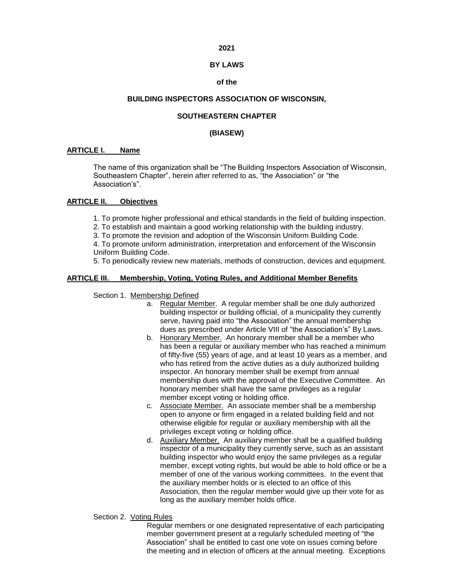## **2021**

### **BY LAWS**

### **of the**

## **BUILDING INSPECTORS ASSOCIATION OF WISCONSIN,**

## **SOUTHEASTERN CHAPTER**

# **(BIASEW)**

## **ARTICLE I. Name**

The name of this organization shall be "The Building Inspectors Association of Wisconsin, Southeastern Chapter", herein after referred to as, "the Association" or "the Association's".

# **ARTICLE II. Objectives**

1. To promote higher professional and ethical standards in the field of building inspection.

2. To establish and maintain a good working relationship with the building industry.

3. To promote the revision and adoption of the Wisconsin Uniform Building Code.

4. To promote uniform administration, interpretation and enforcement of the Wisconsin Uniform Building Code.

5. To periodically review new materials, methods of construction, devices and equipment.

## **ARTICLE III. Membership, Voting, Voting Rules, and Additional Member Benefits**

Section 1. Membership Defined

- a. Regular Member. A regular member shall be one duly authorized building inspector or building official, of a municipality they currently serve, having paid into "the Association" the annual membership dues as prescribed under Article VIII of "the Association's" By Laws.
- b. Honorary Member. An honorary member shall be a member who has been a regular or auxiliary member who has reached a minimum of fifty-five (55) years of age, and at least 10 years as a member, and who has retired from the active duties as a duly authorized building inspector. An honorary member shall be exempt from annual membership dues with the approval of the Executive Committee. An honorary member shall have the same privileges as a regular member except voting or holding office.
- c. Associate Member. An associate member shall be a membership open to anyone or firm engaged in a related building field and not otherwise eligible for regular or auxiliary membership with all the privileges except voting or holding office.
- d. Auxiliary Member. An auxiliary member shall be a qualified building inspector of a municipality they currently serve, such as an assistant building inspector who would enjoy the same privileges as a regular member, except voting rights, but would be able to hold office or be a member of one of the various working committees. In the event that the auxiliary member holds or is elected to an office of this Association, then the regular member would give up their vote for as long as the auxiliary member holds office.

## Section 2. Voting Rules

Regular members or one designated representative of each participating member government present at a regularly scheduled meeting of "the Association" shall be entitled to cast one vote on issues coming before the meeting and in election of officers at the annual meeting. Exceptions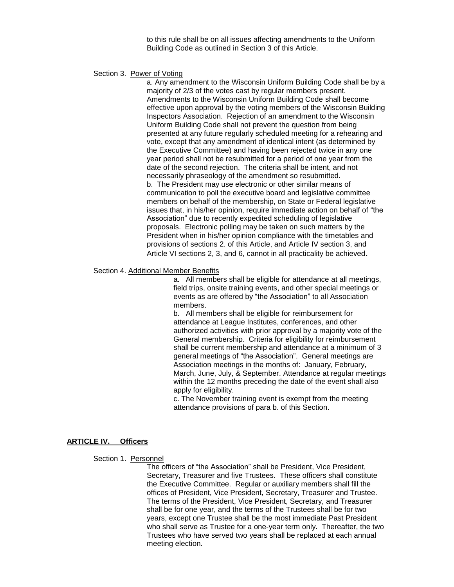to this rule shall be on all issues affecting amendments to the Uniform Building Code as outlined in Section 3 of this Article.

#### Section 3. Power of Voting

a. Any amendment to the Wisconsin Uniform Building Code shall be by a majority of 2/3 of the votes cast by regular members present. Amendments to the Wisconsin Uniform Building Code shall become effective upon approval by the voting members of the Wisconsin Building Inspectors Association. Rejection of an amendment to the Wisconsin Uniform Building Code shall not prevent the question from being presented at any future regularly scheduled meeting for a rehearing and vote, except that any amendment of identical intent (as determined by the Executive Committee) and having been rejected twice in any one year period shall not be resubmitted for a period of one year from the date of the second rejection. The criteria shall be intent, and not necessarily phraseology of the amendment so resubmitted. b. The President may use electronic or other similar means of communication to poll the executive board and legislative committee members on behalf of the membership, on State or Federal legislative issues that, in his/her opinion, require immediate action on behalf of "the Association" due to recently expedited scheduling of legislative proposals. Electronic polling may be taken on such matters by the President when in his/her opinion compliance with the timetables and provisions of sections 2. of this Article, and Article IV section 3, and Article VI sections 2, 3, and 6, cannot in all practicality be achieved.

#### Section 4. Additional Member Benefits

a. All members shall be eligible for attendance at all meetings, field trips, onsite training events, and other special meetings or events as are offered by "the Association" to all Association members.

b. All members shall be eligible for reimbursement for attendance at League Institutes, conferences, and other authorized activities with prior approval by a majority vote of the General membership. Criteria for eligibility for reimbursement shall be current membership and attendance at a minimum of 3 general meetings of "the Association". General meetings are Association meetings in the months of: January, February, March, June, July, & September. Attendance at regular meetings within the 12 months preceding the date of the event shall also apply for eligibility.

c. The November training event is exempt from the meeting attendance provisions of para b. of this Section.

## **ARTICLE IV. Officers**

#### Section 1. Personnel

The officers of "the Association" shall be President, Vice President, Secretary, Treasurer and five Trustees. These officers shall constitute the Executive Committee. Regular or auxiliary members shall fill the offices of President, Vice President, Secretary, Treasurer and Trustee. The terms of the President, Vice President, Secretary, and Treasurer shall be for one year, and the terms of the Trustees shall be for two years, except one Trustee shall be the most immediate Past President who shall serve as Trustee for a one-year term only. Thereafter, the two Trustees who have served two years shall be replaced at each annual meeting election.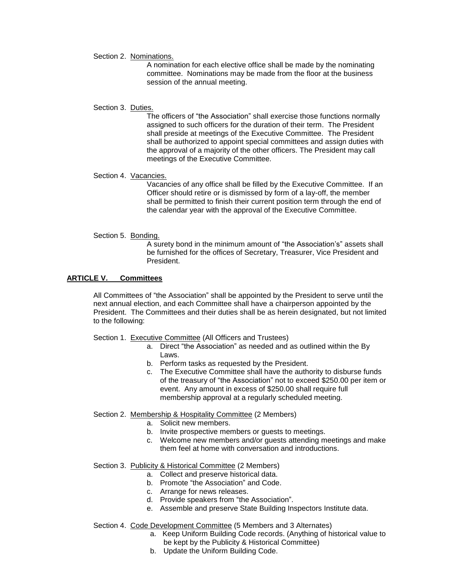#### Section 2. Nominations.

A nomination for each elective office shall be made by the nominating committee. Nominations may be made from the floor at the business session of the annual meeting.

### Section 3. Duties.

The officers of "the Association" shall exercise those functions normally assigned to such officers for the duration of their term. The President shall preside at meetings of the Executive Committee. The President shall be authorized to appoint special committees and assign duties with the approval of a majority of the other officers. The President may call meetings of the Executive Committee.

## Section 4. Vacancies.

Vacancies of any office shall be filled by the Executive Committee. If an Officer should retire or is dismissed by form of a lay-off, the member shall be permitted to finish their current position term through the end of the calendar year with the approval of the Executive Committee.

## Section 5. Bonding.

A surety bond in the minimum amount of "the Association's" assets shall be furnished for the offices of Secretary, Treasurer, Vice President and President.

## **ARTICLE V. Committees**

All Committees of "the Association" shall be appointed by the President to serve until the next annual election, and each Committee shall have a chairperson appointed by the President. The Committees and their duties shall be as herein designated, but not limited to the following:

#### Section 1. Executive Committee (All Officers and Trustees)

- a. Direct "the Association" as needed and as outlined within the By Laws.
- b. Perform tasks as requested by the President.
- c. The Executive Committee shall have the authority to disburse funds of the treasury of "the Association" not to exceed \$250.00 per item or event. Any amount in excess of \$250.00 shall require full membership approval at a regularly scheduled meeting.

## Section 2. Membership & Hospitality Committee (2 Members)

- a. Solicit new members.
- b. Invite prospective members or guests to meetings.
- c. Welcome new members and/or guests attending meetings and make them feel at home with conversation and introductions.

## Section 3. Publicity & Historical Committee (2 Members)

- a. Collect and preserve historical data.
- b. Promote "the Association" and Code.
- c. Arrange for news releases.
- d. Provide speakers from "the Association".
- e. Assemble and preserve State Building Inspectors Institute data.

### Section 4. Code Development Committee (5 Members and 3 Alternates)

- a. Keep Uniform Building Code records. (Anything of historical value to be kept by the Publicity & Historical Committee)
- b. Update the Uniform Building Code.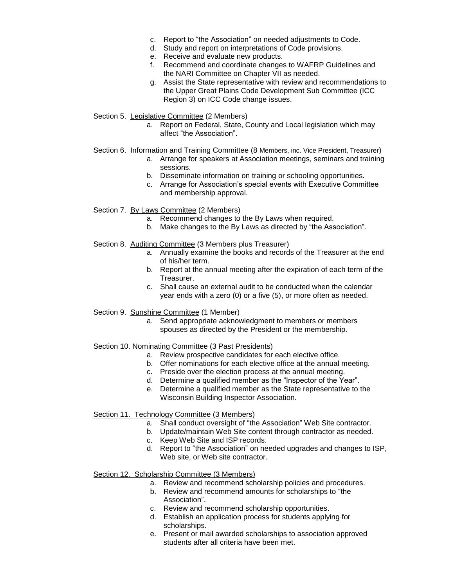- c. Report to "the Association" on needed adjustments to Code.
- d. Study and report on interpretations of Code provisions.
- e. Receive and evaluate new products.
- f. Recommend and coordinate changes to WAFRP Guidelines and the NARI Committee on Chapter VII as needed.
- g. Assist the State representative with review and recommendations to the Upper Great Plains Code Development Sub Committee (ICC Region 3) on ICC Code change issues.
- Section 5. Legislative Committee (2 Members)
	- a. Report on Federal, State, County and Local legislation which may affect "the Association".
- Section 6. Information and Training Committee (8 Members, inc. Vice President, Treasurer)
	- a. Arrange for speakers at Association meetings, seminars and training sessions.
	- b. Disseminate information on training or schooling opportunities.
	- c. Arrange for Association's special events with Executive Committee and membership approval.
- Section 7. By Laws Committee (2 Members)
	- a. Recommend changes to the By Laws when required.
	- b. Make changes to the By Laws as directed by "the Association".
- Section 8. Auditing Committee (3 Members plus Treasurer)
	- a. Annually examine the books and records of the Treasurer at the end of his/her term.
	- b. Report at the annual meeting after the expiration of each term of the Treasurer.
	- c. Shall cause an external audit to be conducted when the calendar year ends with a zero (0) or a five (5), or more often as needed.
- Section 9. Sunshine Committee (1 Member)
	- a. Send appropriate acknowledgment to members or members spouses as directed by the President or the membership.

## Section 10. Nominating Committee (3 Past Presidents)

- a. Review prospective candidates for each elective office.
- b. Offer nominations for each elective office at the annual meeting.
- c. Preside over the election process at the annual meeting.
- d. Determine a qualified member as the "Inspector of the Year".
- e. Determine a qualified member as the State representative to the Wisconsin Building Inspector Association.

## Section 11. Technology Committee (3 Members)

- a. Shall conduct oversight of "the Association" Web Site contractor.
- b. Update/maintain Web Site content through contractor as needed.
- c. Keep Web Site and ISP records.
- d. Report to "the Association" on needed upgrades and changes to ISP, Web site, or Web site contractor.

## Section 12. Scholarship Committee (3 Members)

- a. Review and recommend scholarship policies and procedures.
- b. Review and recommend amounts for scholarships to "the Association".
- c. Review and recommend scholarship opportunities.
- d. Establish an application process for students applying for scholarships.
- e. Present or mail awarded scholarships to association approved students after all criteria have been met.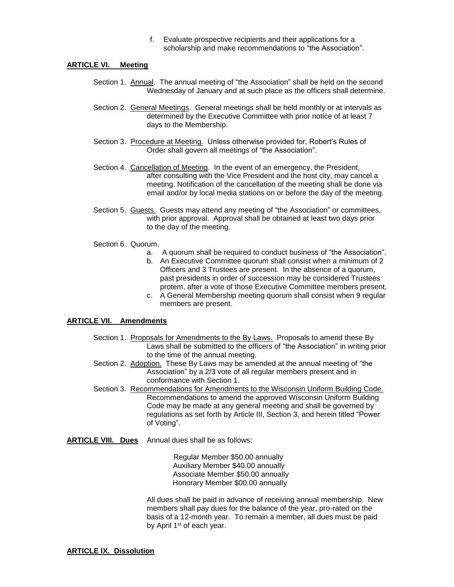f. Evaluate prospective recipients and their applications for a scholarship and make recommendations to "the Association".

## **ARTICLE VI. Meeting**

- Section 1. Annual. The annual meeting of "the Association" shall be held on the second Wednesday of January and at such place as the officers shall determine.
- Section 2. General Meetings. General meetings shall be held monthly or at intervals as determined by the Executive Committee with prior notice of at least 7 days to the Membership.
- Section 3. Procedure at Meeting. Unless otherwise provided for, Robert's Rules of Order shall govern all meetings of "the Association".
- Section 4. Cancellation of Meeting. In the event of an emergency, the President, after consulting with the Vice President and the host city, may cancel a meeting. Notification of the cancellation of the meeting shall be done via email and/or by local media stations on or before the day of the meeting.
- Section 5. Guests. Guests may attend any meeting of "the Association" or committees, with prior approval. Approval shall be obtained at least two days prior to the day of the meeting.
- Section 6. Quorum.
	- a. A quorum shall be required to conduct business of "the Association".
	- b. An Executive Committee quorum shall consist when a minimum of 2 Officers and 3 Trustees are present. In the absence of a quorum, past presidents in order of succession may be considered Trustees protem, after a vote of those Executive Committee members present.
	- c. A General Membership meeting quorum shall consist when 9 regular members are present.

## **ARTICLE VII. Amendments**

- Section 1. Proposals for Amendments to the By Laws. Proposals to amend these By Laws shall be submitted to the officers of "the Association" in writing prior to the time of the annual meeting.
- Section 2. Adoption. These By Laws may be amended at the annual meeting of "the Association" by a 2/3 vote of all regular members present and in conformance with Section 1.
- Section 3. Recommendations for Amendments to the Wisconsin Uniform Building Code. Recommendations to amend the approved Wisconsin Uniform Building Code may be made at any general meeting and shall be governed by regulations as set forth by Article III, Section 3, and herein titled "Power of Voting".
- **ARTICLE VIII. Dues** Annual dues shall be as follows:

Regular Member \$50.00 annually Auxiliary Member \$40.00 annually Associate Member \$50.00 annually Honorary Member \$00.00 annually

All dues shall be paid in advance of receiving annual membership. New members shall pay dues for the balance of the year, pro-rated on the basis of a 12-month year. To remain a member, all dues must be paid by April 1<sup>st</sup> of each year.